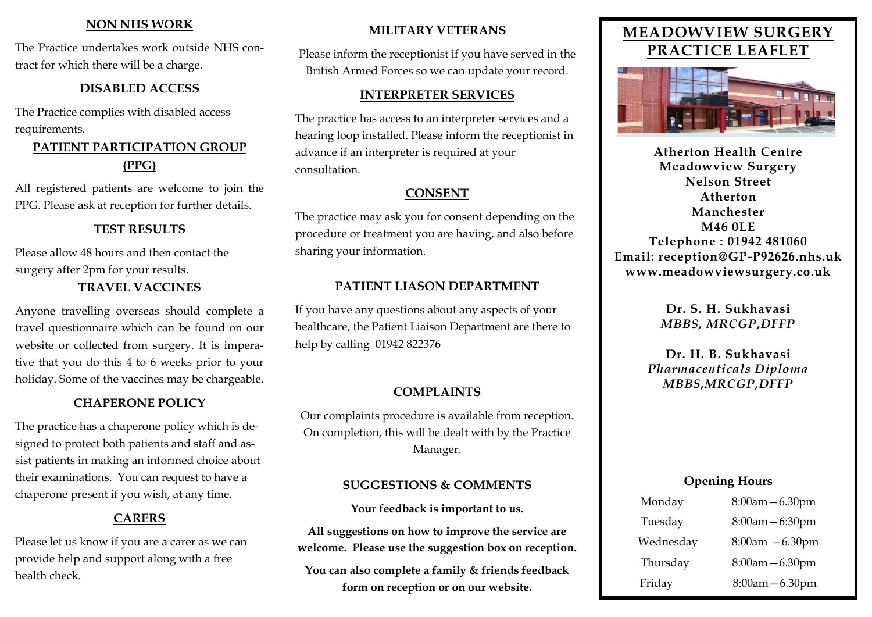#### **NON NHS WORK**

The Practice undertakes work outside NHS contract for which there will be a charge.

#### **DISABLED ACCESS**

The Practice complies with disabled access requirements.

## **PATIENT PARTICIPATION GROUP (PPG)**

All registered patients are welcome to join the PPG. Please ask at reception for further details.

## **TEST RESULTS**

Please allow 48 hours and then contact the surgery after 2pm for your results.

## **TRAVEL VACCINES**

Anyone travelling overseas should complete a travel questionnaire which can be found on our website or collected from surgery. It is imperative that you do this 4 to 6 weeks prior to your holiday. Some of the vaccines may be chargeable.

#### **CHAPERONE POLICY**

The practice has a chaperone policy which is designed to protect both patients and staff and assist patients in making an informed choice about their examinations. You can request to have a chaperone present if you wish, at any time.

## **CARERS**

Please let us know if you are a carer as we can provide help and support along with a free health check.

## **MILITARY VETERANS**

Please inform the receptionist if you have served in the British Armed Forces so we can update your record.

#### **INTERPRETER SERVICES**

The practice has access to an interpreter services and a hearing loop installed. Please inform the receptionist in advance if an interpreter is required at your consultation.

## **CONSENT**

The practice may ask you for consent depending on the procedure or treatment you are having, and also before sharing your information.

## **PATIENT LIASON DEPARTMENT**

If you have any questions about any aspects of your healthcare, the Patient Liaison Department are there to help by calling 01942 822376

## **COMPLAINTS**

Our complaints procedure is available from reception. On completion, this will be dealt with by the Practice Manager.

## **SUGGESTIONS & COMMENTS**

**Your feedback is important to us.**

**All suggestions on how to improve the service are welcome. Please use the suggestion box on reception.** 

**You can also complete a family & friends feedback form on reception or on our website.**

# **MEADOWVIEW SURGERY PRACTICE LEAFLET**



**Atherton Health Centre Meadowview Surgery Nelson Street Atherton Manchester M46 0LE Telephone : 01942 481060 Email: reception@GP-P92626.nhs.uk www.meadowviewsurgery.co.uk**

> **Dr. S. H. Sukhavasi** *MBBS, MRCGP,DFFP*

**Dr. H. B. Sukhavasi** *Pharmaceuticals Diploma MBBS,MRCGP,DFFP*

#### **Opening Hours**

| $8:00$ am $-6.30$ pm |
|----------------------|
| 8:00am - 6:30pm      |
| $8:00$ am $-6.30$ pm |
| 8:00am - 6.30pm      |
| $8:00am - 6.30pm$    |
|                      |